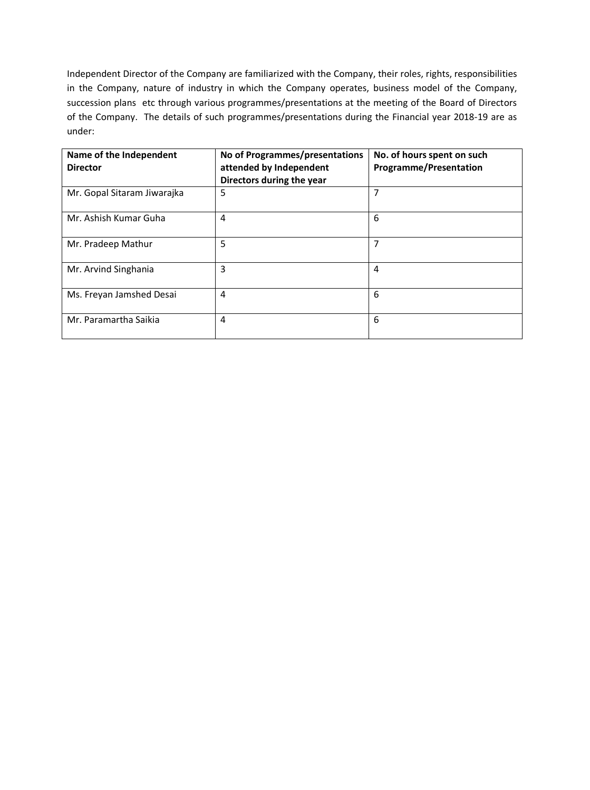Independent Director of the Company are familiarized with the Company, their roles, rights, responsibilities in the Company, nature of industry in which the Company operates, business model of the Company, succession plans etc through various programmes/presentations at the meeting of the Board of Directors of the Company. The details of such programmes/presentations during the Financial year 2018-19 are as under:

| Name of the Independent<br><b>Director</b> | No of Programmes/presentations<br>attended by Independent<br>Directors during the year | No. of hours spent on such<br><b>Programme/Presentation</b> |
|--------------------------------------------|----------------------------------------------------------------------------------------|-------------------------------------------------------------|
| Mr. Gopal Sitaram Jiwarajka                | 5                                                                                      | 7                                                           |
| Mr. Ashish Kumar Guha                      | 4                                                                                      | 6                                                           |
| Mr. Pradeep Mathur                         | 5                                                                                      | 7                                                           |
| Mr. Arvind Singhania                       | 3                                                                                      | 4                                                           |
| Ms. Freyan Jamshed Desai                   | 4                                                                                      | 6                                                           |
| Mr. Paramartha Saikia                      | 4                                                                                      | 6                                                           |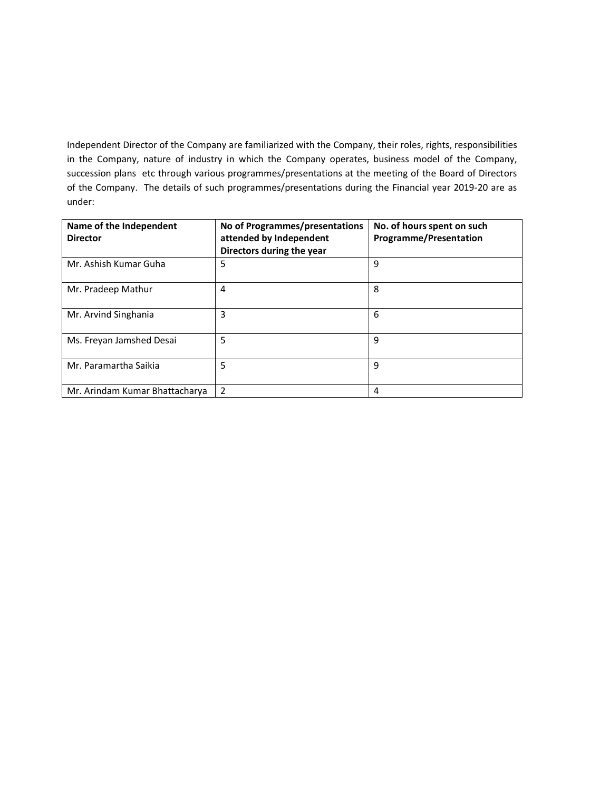Independent Director of the Company are familiarized with the Company, their roles, rights, responsibilities in the Company, nature of industry in which the Company operates, business model of the Company, succession plans etc through various programmes/presentations at the meeting of the Board of Directors of the Company. The details of such programmes/presentations during the Financial year 2019-20 are as under:

| Name of the Independent<br><b>Director</b> | No of Programmes/presentations<br>attended by Independent<br>Directors during the year | No. of hours spent on such<br><b>Programme/Presentation</b> |
|--------------------------------------------|----------------------------------------------------------------------------------------|-------------------------------------------------------------|
| Mr. Ashish Kumar Guha                      | 5                                                                                      | 9                                                           |
| Mr. Pradeep Mathur                         | 4                                                                                      | 8                                                           |
| Mr. Arvind Singhania                       | 3                                                                                      | 6                                                           |
| Ms. Freyan Jamshed Desai                   | 5                                                                                      | 9                                                           |
| Mr. Paramartha Saikia                      | 5                                                                                      | 9                                                           |
| Mr. Arindam Kumar Bhattacharya             | $\overline{2}$                                                                         | 4                                                           |